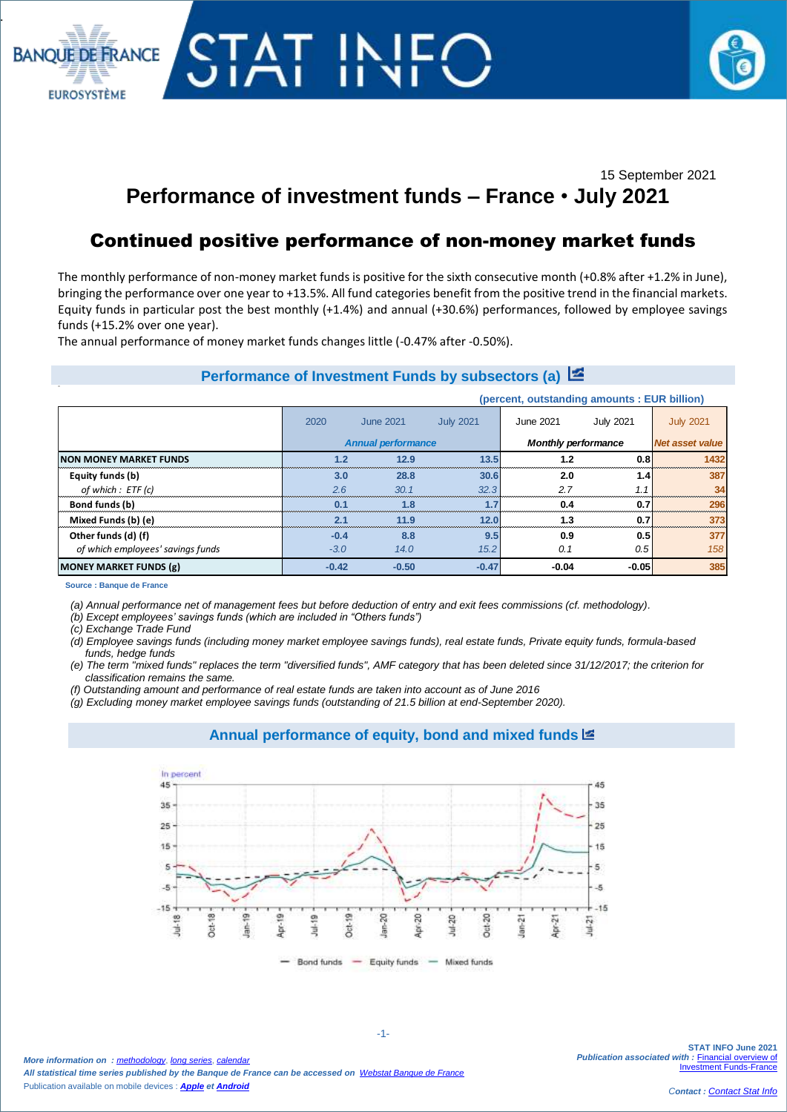## 15 September 2021 **Performance of investment funds – France** • **July 2021**

# Continued positive performance of non-money market funds

The monthly performance of non-money market funds is positive for the sixth consecutive month (+0.8% after +1.2% in June), bringing the performance over one year to +13.5%. All fund categories benefit from the positive trend in the financial markets. Equity funds in particular post the best monthly (+1.4%) and annual (+30.6%) performances, followed by employee savings funds (+15.2% over one year).

The annual performance of money market funds changes little (-0.47% after -0.50%).

## **Performance of Investment Funds by subsectors (a)**

| (percent, outstanding amounts: EUR billion) |                           |                  |                  |                            |                  |                        |
|---------------------------------------------|---------------------------|------------------|------------------|----------------------------|------------------|------------------------|
|                                             | 2020                      | <b>June 2021</b> | <b>July 2021</b> | June 2021                  | <b>July 2021</b> | <b>July 2021</b>       |
|                                             | <b>Annual performance</b> |                  |                  | <b>Monthly performance</b> |                  | <b>Net asset value</b> |
| <b>NON MONEY MARKET FUNDS</b>               | 1.2                       | 12.9             | 13.5             | 1.2                        | 0.8              | 1432                   |
| Equity funds (b)                            | 3.0                       | 28.8             | 30.6             | 2.0                        | 1.4              | 387                    |
| of which: ETF (c)                           | 2.6                       | 30.1             | 32.3             | 2.7                        | 1.1              | 34                     |
| Bond funds (b)                              | 0.1                       | 1.8              | 1.7              | 0.4                        | 0.7              | 296                    |
| Mixed Funds (b) (e)                         | 2.1                       | 11.9             | 12.0             | 1.3                        | 0.7              | 373                    |
| Other funds (d) (f)                         | $-0.4$                    | 8.8              | 9.5              | 0.9                        | 0.5              | 377                    |
| of which employees' savings funds           | $-3.0$                    | 14.0             | 15.2             | 0.1                        | 0.5              | 158                    |
| <b>MONEY MARKET FUNDS (g)</b>               | $-0.42$                   | $-0.50$          | $-0.47$          | $-0.04$                    | $-0.05$          | 385                    |

**Source : Banque de France**

.  $\overline{\phantom{a}}$ 

**BANOUE DE FRANCE** 

**EUROSYSTÈME** 

 $\overline{\phantom{a}}$ 

*(a) Annual performance net of management fees but before deduction of entry and exit fees commissions (cf. methodology).*

*(b) Except employees' savings funds (which are included in "Others funds")*

*(c) Exchange Trade Fund* 

- *(d) Employee savings funds (including money market employee savings funds), real estate funds, Private equity funds, formula-based funds, hedge funds*
- *(e) The term "mixed funds" replaces the term "diversified funds", AMF category that has been deleted since 31/12/2017; the criterion for classification remains the same.*
- *(f) Outstanding amount and performance of real estate funds are taken into account as of June 2016*

*(g) Excluding money market employee savings funds (outstanding of 21.5 billion at end-September 2020).*

## **Annual performance of equity, bond and mixed funds**